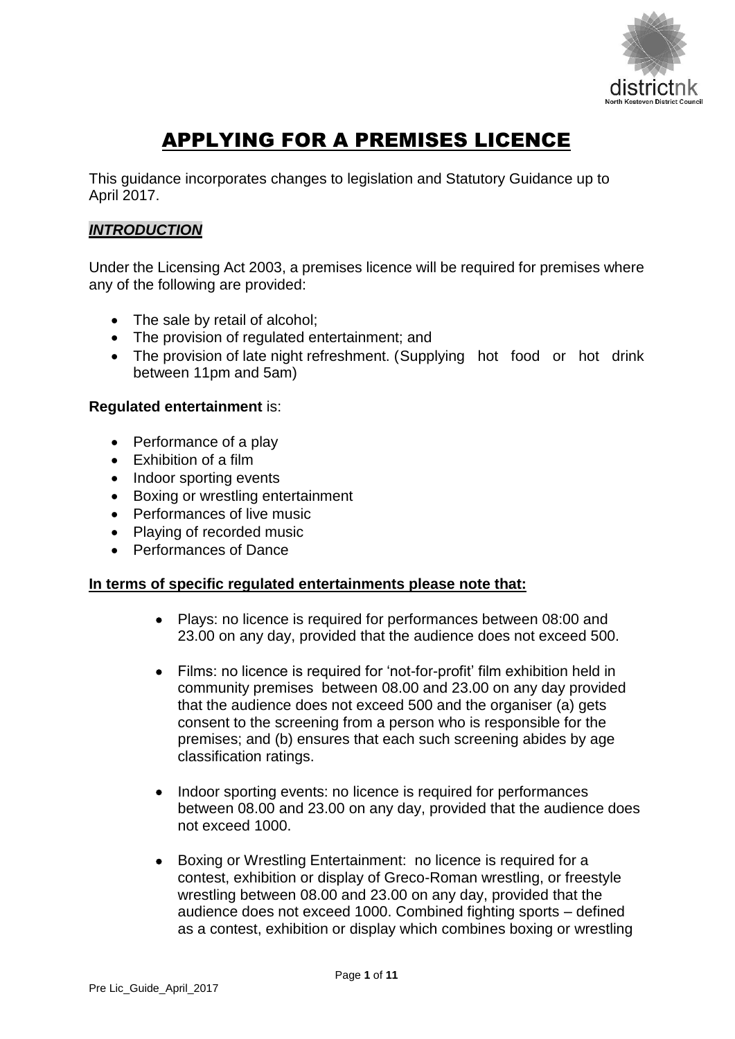

# APPLYING FOR A PREMISES LICENCE

This guidance incorporates changes to legislation and Statutory Guidance up to April 2017.

## *INTRODUCTION*

Under the Licensing Act 2003, a premises licence will be required for premises where any of the following are provided:

- The sale by retail of alcohol;
- The provision of regulated entertainment; and
- The provision of late night refreshment. (Supplying hot food or hot drink between 11pm and 5am)

#### **Regulated entertainment** is:

- Performance of a play
- Exhibition of a film
- Indoor sporting events
- Boxing or wrestling entertainment
- Performances of live music
- Playing of recorded music
- Performances of Dance

#### **In terms of specific regulated entertainments please note that:**

- Plays: no licence is required for performances between 08:00 and 23.00 on any day, provided that the audience does not exceed 500.
- Films: no licence is required for 'not-for-profit' film exhibition held in community premises between 08.00 and 23.00 on any day provided that the audience does not exceed 500 and the organiser (a) gets consent to the screening from a person who is responsible for the premises; and (b) ensures that each such screening abides by age classification ratings.
- Indoor sporting events: no licence is required for performances between 08.00 and 23.00 on any day, provided that the audience does not exceed 1000.
- Boxing or Wrestling Entertainment: no licence is required for a contest, exhibition or display of Greco-Roman wrestling, or freestyle wrestling between 08.00 and 23.00 on any day, provided that the audience does not exceed 1000. Combined fighting sports – defined as a contest, exhibition or display which combines boxing or wrestling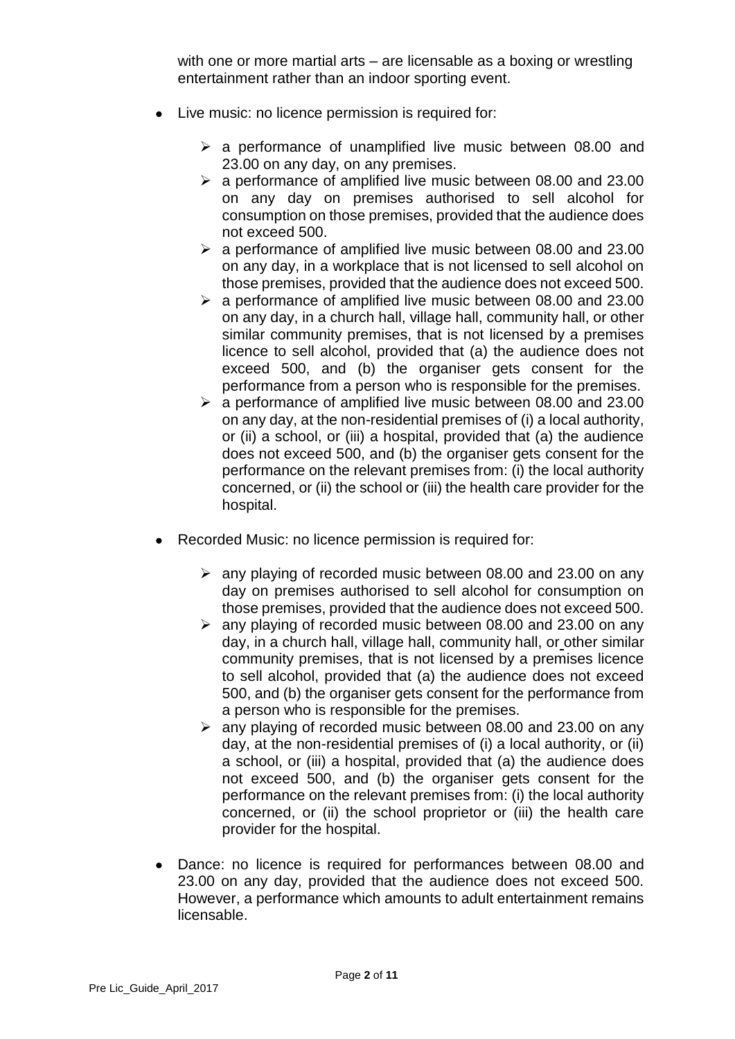with one or more martial arts – are licensable as a boxing or wrestling entertainment rather than an indoor sporting event.

- Live music: no licence permission is required for:
	- $\geq$  a performance of unamplified live music between 08.00 and 23.00 on any day, on any premises.
	- $\geq$  a performance of amplified live music between 08.00 and 23.00 on any day on premises authorised to sell alcohol for consumption on those premises, provided that the audience does not exceed 500.
	- $\geq$  a performance of amplified live music between 08.00 and 23.00 on any day, in a workplace that is not licensed to sell alcohol on those premises, provided that the audience does not exceed 500.
	- $\geq$  a performance of amplified live music between 08.00 and 23.00 on any day, in a church hall, village hall, community hall, or other similar community premises, that is not licensed by a premises licence to sell alcohol, provided that (a) the audience does not exceed 500, and (b) the organiser gets consent for the performance from a person who is responsible for the premises.
	- $\geq$  a performance of amplified live music between 08.00 and 23.00 on any day, at the non-residential premises of (i) a local authority, or (ii) a school, or (iii) a hospital, provided that (a) the audience does not exceed 500, and (b) the organiser gets consent for the performance on the relevant premises from: (i) the local authority concerned, or (ii) the school or (iii) the health care provider for the hospital.
- Recorded Music: no licence permission is required for:
	- $\geq$  any playing of recorded music between 08.00 and 23.00 on any day on premises authorised to sell alcohol for consumption on those premises, provided that the audience does not exceed 500.
	- $\geq$  any playing of recorded music between 08.00 and 23.00 on any day, in a church hall, village hall, community hall, or other similar community premises, that is not licensed by a premises licence to sell alcohol, provided that (a) the audience does not exceed 500, and (b) the organiser gets consent for the performance from a person who is responsible for the premises.
	- $\ge$  any playing of recorded music between 08.00 and 23.00 on any day, at the non-residential premises of (i) a local authority, or (ii) a school, or (iii) a hospital, provided that (a) the audience does not exceed 500, and (b) the organiser gets consent for the performance on the relevant premises from: (i) the local authority concerned, or (ii) the school proprietor or (iii) the health care provider for the hospital.
- Dance: no licence is required for performances between 08.00 and 23.00 on any day, provided that the audience does not exceed 500. However, a performance which amounts to adult entertainment remains licensable.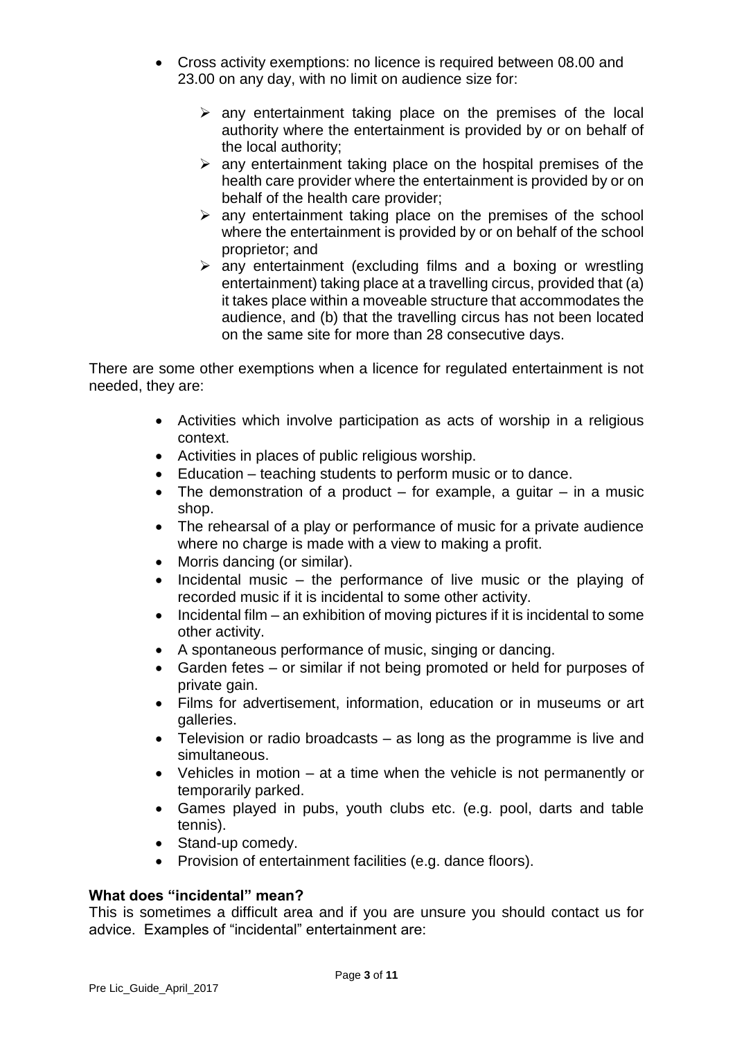- Cross activity exemptions: no licence is required between 08.00 and 23.00 on any day, with no limit on audience size for:
	- $\triangleright$  any entertainment taking place on the premises of the local authority where the entertainment is provided by or on behalf of the local authority;
	- $\triangleright$  any entertainment taking place on the hospital premises of the health care provider where the entertainment is provided by or on behalf of the health care provider;
	- $\triangleright$  any entertainment taking place on the premises of the school where the entertainment is provided by or on behalf of the school proprietor; and
	- $\triangleright$  any entertainment (excluding films and a boxing or wrestling entertainment) taking place at a travelling circus, provided that (a) it takes place within a moveable structure that accommodates the audience, and (b) that the travelling circus has not been located on the same site for more than 28 consecutive days.

There are some other exemptions when a licence for regulated entertainment is not needed, they are:

- Activities which involve participation as acts of worship in a religious context.
- Activities in places of public religious worship.
- Education teaching students to perform music or to dance.
- The demonstration of a product  $-$  for example, a guitar  $-$  in a music shop.
- The rehearsal of a play or performance of music for a private audience where no charge is made with a view to making a profit.
- Morris dancing (or similar).
- $\bullet$  Incidental music the performance of live music or the playing of recorded music if it is incidental to some other activity.
- $\bullet$  Incidental film an exhibition of moving pictures if it is incidental to some other activity.
- A spontaneous performance of music, singing or dancing.
- Garden fetes or similar if not being promoted or held for purposes of private gain.
- Films for advertisement, information, education or in museums or art galleries.
- Television or radio broadcasts as long as the programme is live and simultaneous.
- Vehicles in motion at a time when the vehicle is not permanently or temporarily parked.
- Games played in pubs, youth clubs etc. (e.g. pool, darts and table tennis).
- Stand-up comedy.
- Provision of entertainment facilities (e.g. dance floors).

## **What does "incidental" mean?**

This is sometimes a difficult area and if you are unsure you should contact us for advice. Examples of "incidental" entertainment are: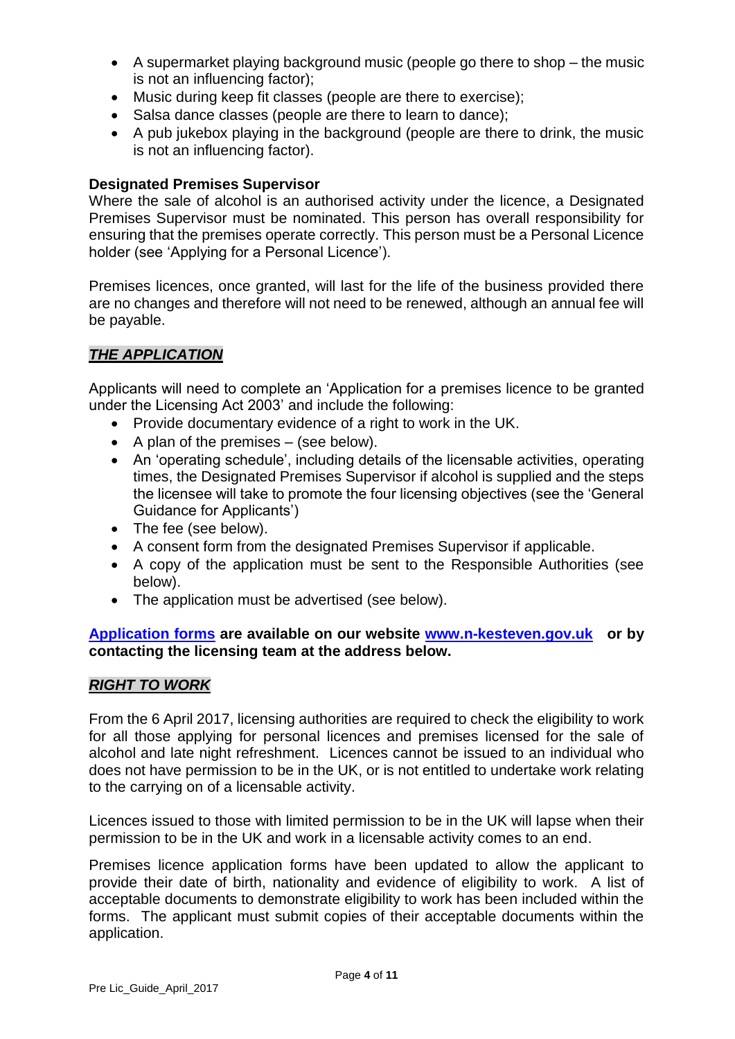- A supermarket playing background music (people go there to shop the music is not an influencing factor);
- Music during keep fit classes (people are there to exercise);
- Salsa dance classes (people are there to learn to dance);
- A pub jukebox playing in the background (people are there to drink, the music is not an influencing factor).

#### **Designated Premises Supervisor**

Where the sale of alcohol is an authorised activity under the licence, a Designated Premises Supervisor must be nominated. This person has overall responsibility for ensuring that the premises operate correctly. This person must be a Personal Licence holder (see 'Applying for a Personal Licence').

Premises licences, once granted, will last for the life of the business provided there are no changes and therefore will not need to be renewed, although an annual fee will be payable.

## *THE APPLICATION*

Applicants will need to complete an 'Application for a premises licence to be granted under the Licensing Act 2003' and include the following:

- Provide documentary evidence of a right to work in the UK.
- $\bullet$  A plan of the premises (see below).
- An 'operating schedule', including details of the licensable activities, operating times, the Designated Premises Supervisor if alcohol is supplied and the steps the licensee will take to promote the four licensing objectives (see the 'General Guidance for Applicants')
- The fee (see below).
- A consent form from the designated Premises Supervisor if applicable.
- A copy of the application must be sent to the Responsible Authorities (see below).
- The application must be advertised (see below).

**[Application forms](http://www.n-kesteven.gov.uk/business/licensing/business-licences-and-conditions/business-licences/premises-licence/107227.article) are available on our website [www.n-kesteven.gov.uk](http://www.n-kesteven.gov.uk/) or by contacting the licensing team at the address below.**

## *RIGHT TO WORK*

From the 6 April 2017, licensing authorities are required to check the eligibility to work for all those applying for personal licences and premises licensed for the sale of alcohol and late night refreshment. Licences cannot be issued to an individual who does not have permission to be in the UK, or is not entitled to undertake work relating to the carrying on of a licensable activity.

Licences issued to those with limited permission to be in the UK will lapse when their permission to be in the UK and work in a licensable activity comes to an end.

Premises licence application forms have been updated to allow the applicant to provide their date of birth, nationality and evidence of eligibility to work. A list of acceptable documents to demonstrate eligibility to work has been included within the forms. The applicant must submit copies of their acceptable documents within the application.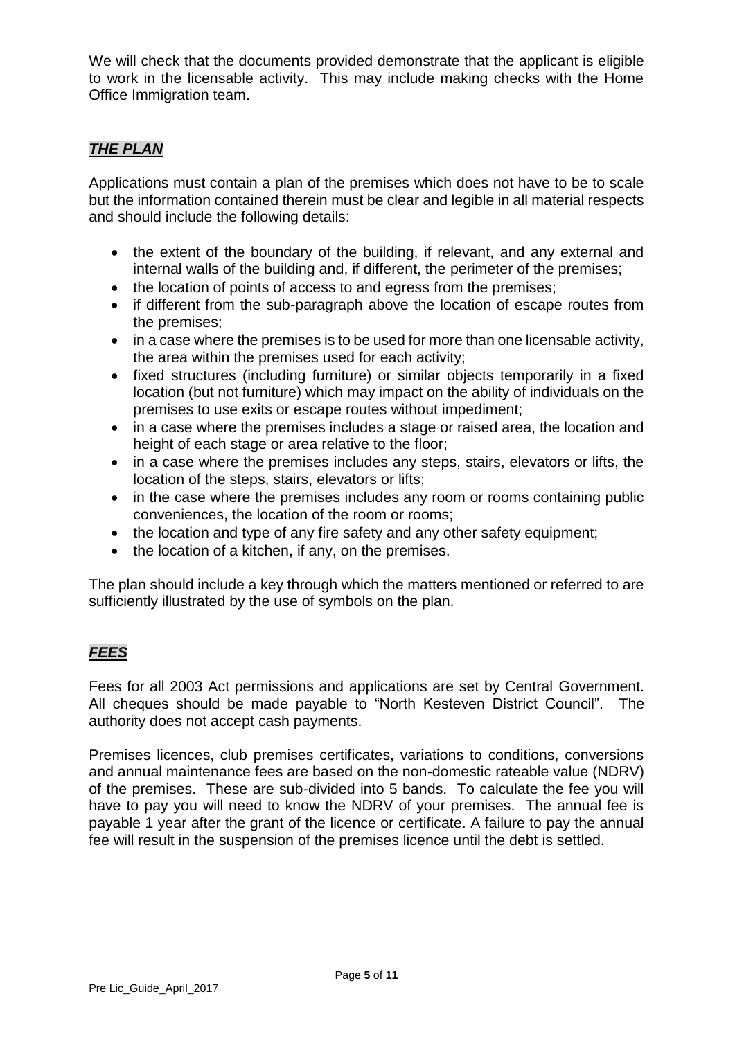We will check that the documents provided demonstrate that the applicant is eligible to work in the licensable activity. This may include making checks with the Home Office Immigration team.

## *THE PLAN*

Applications must contain a plan of the premises which does not have to be to scale but the information contained therein must be clear and legible in all material respects and should include the following details:

- the extent of the boundary of the building, if relevant, and any external and internal walls of the building and, if different, the perimeter of the premises;
- the location of points of access to and egress from the premises;
- if different from the sub-paragraph above the location of escape routes from the premises;
- in a case where the premises is to be used for more than one licensable activity, the area within the premises used for each activity;
- fixed structures (including furniture) or similar objects temporarily in a fixed location (but not furniture) which may impact on the ability of individuals on the premises to use exits or escape routes without impediment;
- in a case where the premises includes a stage or raised area, the location and height of each stage or area relative to the floor;
- in a case where the premises includes any steps, stairs, elevators or lifts, the location of the steps, stairs, elevators or lifts;
- in the case where the premises includes any room or rooms containing public conveniences, the location of the room or rooms;
- the location and type of any fire safety and any other safety equipment;
- the location of a kitchen, if any, on the premises.

The plan should include a key through which the matters mentioned or referred to are sufficiently illustrated by the use of symbols on the plan.

## *FEES*

Fees for all 2003 Act permissions and applications are set by Central Government. All cheques should be made payable to "North Kesteven District Council". The authority does not accept cash payments.

Premises licences, club premises certificates, variations to conditions, conversions and annual maintenance fees are based on the non-domestic rateable value (NDRV) of the premises. These are sub-divided into 5 bands. To calculate the fee you will have to pay you will need to know the NDRV of your premises. The annual fee is payable 1 year after the grant of the licence or certificate. A failure to pay the annual fee will result in the suspension of the premises licence until the debt is settled.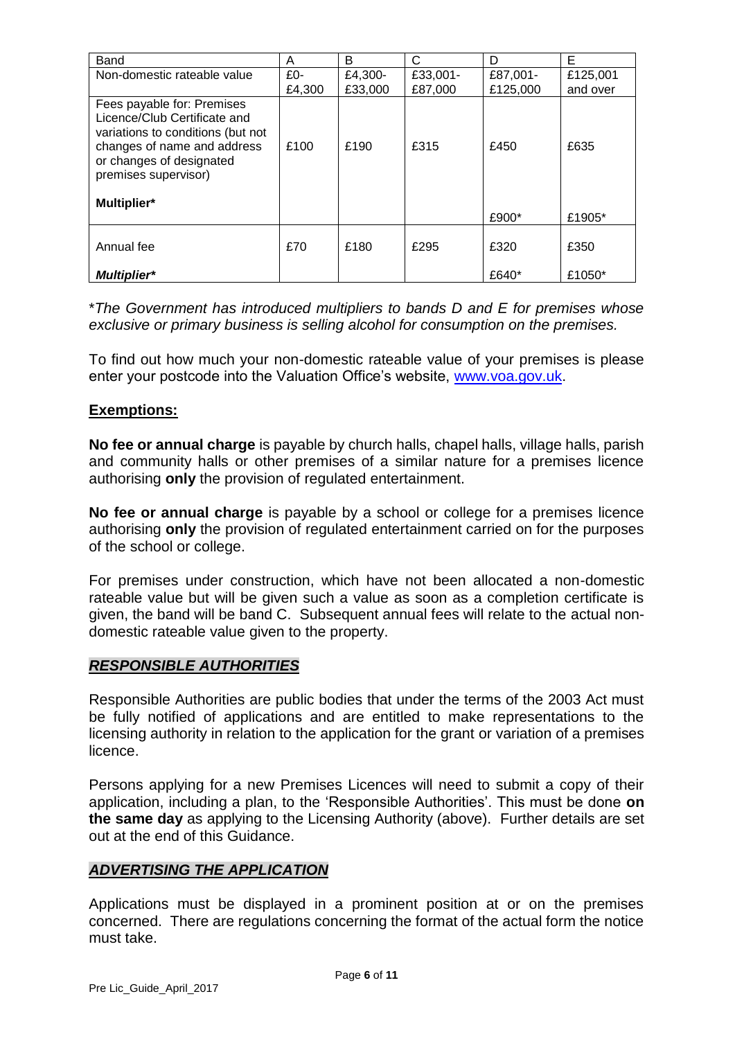| Band                                                                                                                                                                                              | A               | B                  | C                   | D                    | Е                    |
|---------------------------------------------------------------------------------------------------------------------------------------------------------------------------------------------------|-----------------|--------------------|---------------------|----------------------|----------------------|
| Non-domestic rateable value                                                                                                                                                                       | $£0-$<br>£4,300 | £4,300-<br>£33,000 | £33,001-<br>£87,000 | £87,001-<br>£125,000 | £125,001<br>and over |
| Fees payable for: Premises<br>Licence/Club Certificate and<br>variations to conditions (but not<br>changes of name and address<br>or changes of designated<br>premises supervisor)<br>Multiplier* | £100            | £190               | £315                | £450                 | £635                 |
|                                                                                                                                                                                                   |                 |                    |                     | £900*                | £1905*               |
| Annual fee                                                                                                                                                                                        | £70             | £180               | £295                | £320                 | £350                 |
| <b>Multiplier*</b>                                                                                                                                                                                |                 |                    |                     | £640*                | £1050*               |

\**The Government has introduced multipliers to bands D and E for premises whose exclusive or primary business is selling alcohol for consumption on the premises.*

To find out how much your non-domestic rateable value of your premises is please enter your postcode into the Valuation Office's website, [www.voa.gov.uk.](http://www.voa.gov.uk/)

## **Exemptions:**

**No fee or annual charge** is payable by church halls, chapel halls, village halls, parish and community halls or other premises of a similar nature for a premises licence authorising **only** the provision of regulated entertainment.

**No fee or annual charge** is payable by a school or college for a premises licence authorising **only** the provision of regulated entertainment carried on for the purposes of the school or college.

For premises under construction, which have not been allocated a non-domestic rateable value but will be given such a value as soon as a completion certificate is given, the band will be band C. Subsequent annual fees will relate to the actual nondomestic rateable value given to the property.

## *RESPONSIBLE AUTHORITIES*

Responsible Authorities are public bodies that under the terms of the 2003 Act must be fully notified of applications and are entitled to make representations to the licensing authority in relation to the application for the grant or variation of a premises licence.

Persons applying for a new Premises Licences will need to submit a copy of their application, including a plan, to the 'Responsible Authorities'. This must be done **on the same day** as applying to the Licensing Authority (above). Further details are set out at the end of this Guidance.

#### *ADVERTISING THE APPLICATION*

Applications must be displayed in a prominent position at or on the premises concerned. There are regulations concerning the format of the actual form the notice must take.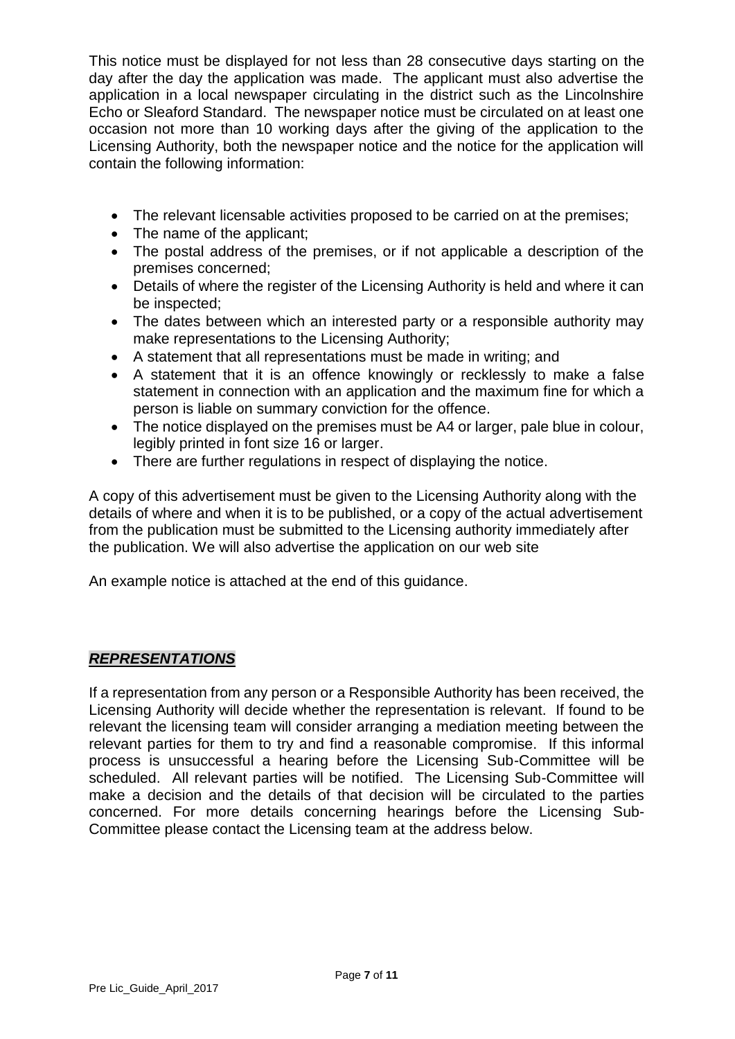This notice must be displayed for not less than 28 consecutive days starting on the day after the day the application was made. The applicant must also advertise the application in a local newspaper circulating in the district such as the Lincolnshire Echo or Sleaford Standard. The newspaper notice must be circulated on at least one occasion not more than 10 working days after the giving of the application to the Licensing Authority, both the newspaper notice and the notice for the application will contain the following information:

- The relevant licensable activities proposed to be carried on at the premises;
- The name of the applicant;
- The postal address of the premises, or if not applicable a description of the premises concerned;
- Details of where the register of the Licensing Authority is held and where it can be inspected;
- The dates between which an interested party or a responsible authority may make representations to the Licensing Authority;
- A statement that all representations must be made in writing; and
- A statement that it is an offence knowingly or recklessly to make a false statement in connection with an application and the maximum fine for which a person is liable on summary conviction for the offence.
- The notice displayed on the premises must be A4 or larger, pale blue in colour, legibly printed in font size 16 or larger.
- There are further regulations in respect of displaying the notice.

A copy of this advertisement must be given to the Licensing Authority along with the details of where and when it is to be published, or a copy of the actual advertisement from the publication must be submitted to the Licensing authority immediately after the publication. We will also advertise the application on our web site

An example notice is attached at the end of this guidance.

## *REPRESENTATIONS*

If a representation from any person or a Responsible Authority has been received, the Licensing Authority will decide whether the representation is relevant. If found to be relevant the licensing team will consider arranging a mediation meeting between the relevant parties for them to try and find a reasonable compromise. If this informal process is unsuccessful a hearing before the Licensing Sub-Committee will be scheduled. All relevant parties will be notified. The Licensing Sub-Committee will make a decision and the details of that decision will be circulated to the parties concerned. For more details concerning hearings before the Licensing Sub-Committee please contact the Licensing team at the address below.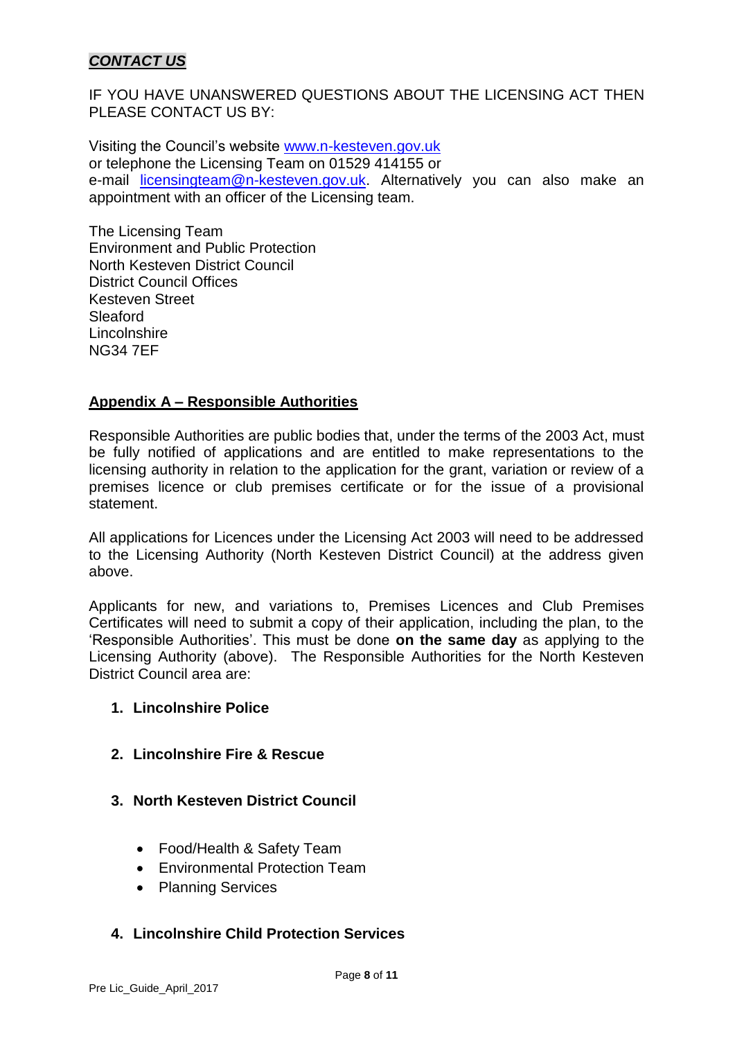## *CONTACT US*

IF YOU HAVE UNANSWERED QUESTIONS ABOUT THE LICENSING ACT THEN PLEASE CONTACT US BY:

Visiting the Council's website [www.n-kesteven.gov.uk](http://www.n-kesteven.gov.uk/) or telephone the Licensing Team on 01529 414155 or e-mail [licensingteam@n-kesteven.gov.uk.](mailto:licensingteam@n-kesteven.gov.uk) Alternatively you can also make an appointment with an officer of the Licensing team.

The Licensing Team Environment and Public Protection North Kesteven District Council District Council Offices Kesteven Street Sleaford **Lincolnshire** NG34 7EF

## **Appendix A – Responsible Authorities**

Responsible Authorities are public bodies that, under the terms of the 2003 Act, must be fully notified of applications and are entitled to make representations to the licensing authority in relation to the application for the grant, variation or review of a premises licence or club premises certificate or for the issue of a provisional statement.

All applications for Licences under the Licensing Act 2003 will need to be addressed to the Licensing Authority (North Kesteven District Council) at the address given above.

Applicants for new, and variations to, Premises Licences and Club Premises Certificates will need to submit a copy of their application, including the plan, to the 'Responsible Authorities'. This must be done **on the same day** as applying to the Licensing Authority (above). The Responsible Authorities for the North Kesteven District Council area are:

## **1. Lincolnshire Police**

- **2. Lincolnshire Fire & Rescue**
- **3. North Kesteven District Council**
	- Food/Health & Safety Team
	- Environmental Protection Team
	- Planning Services

## **4. Lincolnshire Child Protection Services**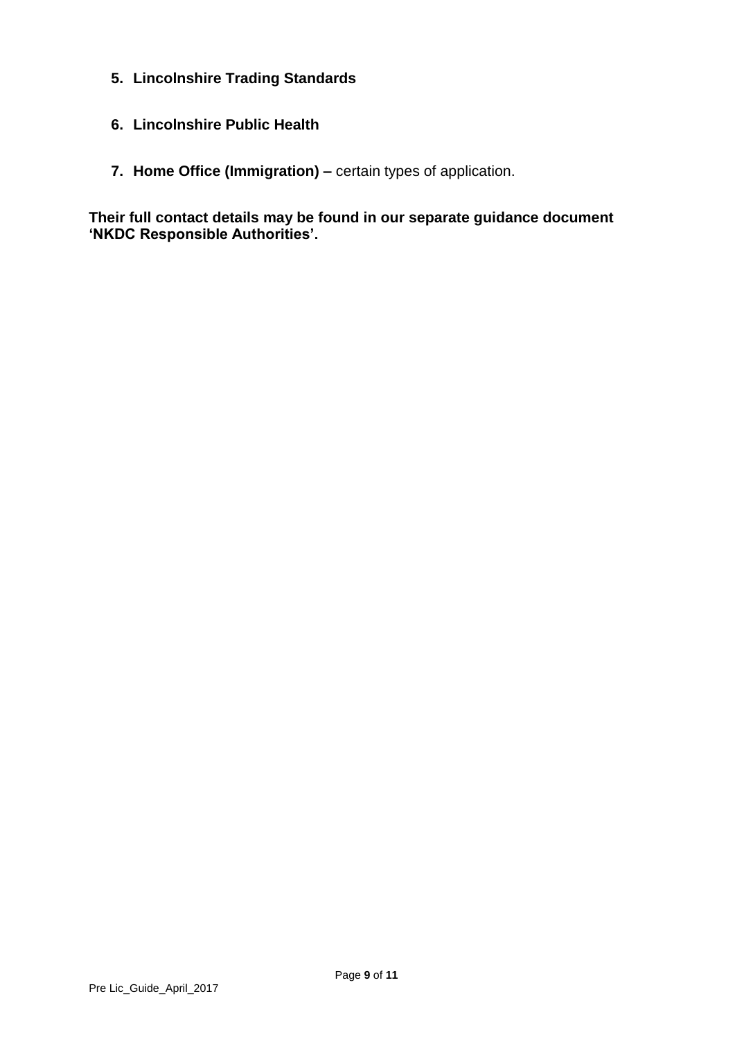- **5. Lincolnshire Trading Standards**
- **6. Lincolnshire Public Health**
- **7. Home Office (Immigration) –** certain types of application.

**Their full contact details may be found in our separate guidance document 'NKDC Responsible Authorities'.**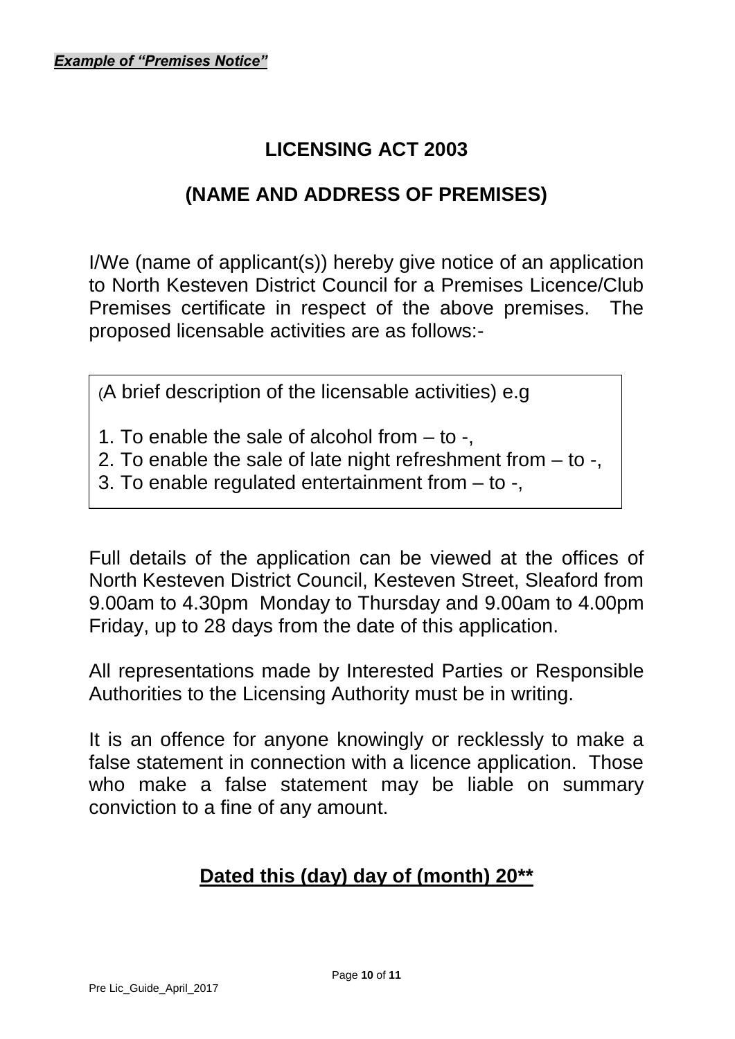## **LICENSING ACT 2003**

## **(NAME AND ADDRESS OF PREMISES)**

I/We (name of applicant(s)) hereby give notice of an application to North Kesteven District Council for a Premises Licence/Club Premises certificate in respect of the above premises. The proposed licensable activities are as follows:-

(A brief description of the licensable activities) e.g

1. To enable the sale of alcohol from – to -,

2. To enable the sale of late night refreshment from – to -,

3. To enable regulated entertainment from – to -,

Full details of the application can be viewed at the offices of North Kesteven District Council, Kesteven Street, Sleaford from 9.00am to 4.30pm Monday to Thursday and 9.00am to 4.00pm Friday, up to 28 days from the date of this application.

All representations made by Interested Parties or Responsible Authorities to the Licensing Authority must be in writing.

It is an offence for anyone knowingly or recklessly to make a false statement in connection with a licence application. Those who make a false statement may be liable on summary conviction to a fine of any amount.

## **Dated this (day) day of (month) 20\*\***